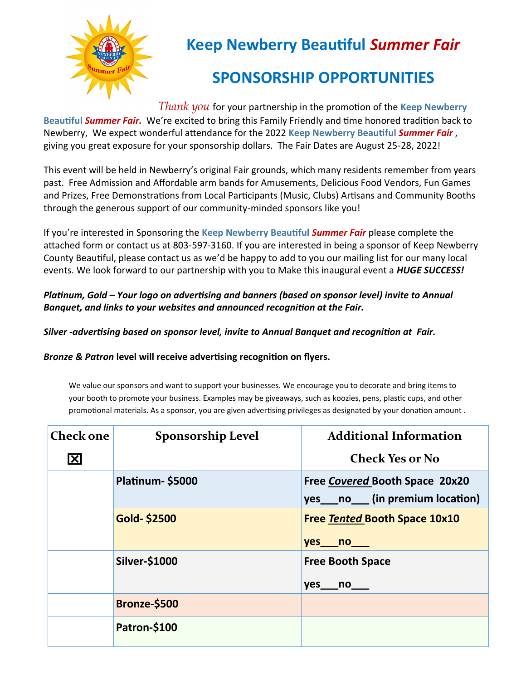

## **Keep Newberry Beautiful** *Summer Fair*

## **SPONSORSHIP OPPORTUNITIES**

*Thank you* for your partnership in the promotion of the **Keep Newberry Beautiful** *Summer Fair.* We're excited to bring this Family Friendly and time honored tradition back to Newberry, We expect wonderful attendance for the 2022 **Keep Newberry Beautiful** *Summer Fair* , giving you great exposure for your sponsorship dollars. The Fair Dates are August 25-28, 2022!

This event will be held in Newberry's original Fair grounds, which many residents remember from years past. Free Admission and Affordable arm bands for Amusements, Delicious Food Vendors, Fun Games and Prizes, Free Demonstrations from Local Participants (Music, Clubs) Artisans and Community Booths through the generous support of our community-minded sponsors like you!

If you're interested in Sponsoring the **Keep Newberry Beautiful** *Summer Fair* please complete the attached form or contact us at 803-597-3160. If you are interested in being a sponsor of Keep Newberry County Beautiful, please contact us as we'd be happy to add to you our mailing list for our many local events. We look forward to our partnership with you to Make this inaugural event a *HUGE SUCCESS!*

*Platinum, Gold – Your logo on advertising and banners (based on sponsor level) invite to Annual Banquet, and links to your websites and announced recognition at the Fair.*

*Silver -advertising based on sponsor level, invite to Annual Banquet and recognition at Fair.*

*Bronze & Patron* **level will receive advertising recognition on flyers.**

We value our sponsors and want to support your businesses. We encourage you to decorate and bring items to your booth to promote your business. Examples may be giveaways, such as koozies, pens, plastic cups, and other promotional materials. As a sponsor, you are given advertising privileges as designated by your donation amount .

| <b>Check one</b>        | <b>Sponsorship Level</b> | <b>Additional Information</b>                                             |  |  |
|-------------------------|--------------------------|---------------------------------------------------------------------------|--|--|
| $\overline{\mathbf{X}}$ |                          | <b>Check Yes or No</b>                                                    |  |  |
|                         | Platinum-\$5000          | Free Covered Booth Space 20x20<br>yes ____ no _____ (in premium location) |  |  |
|                         | <b>Gold-\$2500</b>       | <b>Free Tented Booth Space 10x10</b><br>yes no                            |  |  |
|                         | <b>Silver-\$1000</b>     | <b>Free Booth Space</b><br>$yes$ no $\qquad$                              |  |  |
|                         | Bronze-\$500             |                                                                           |  |  |
|                         | Patron-\$100             |                                                                           |  |  |